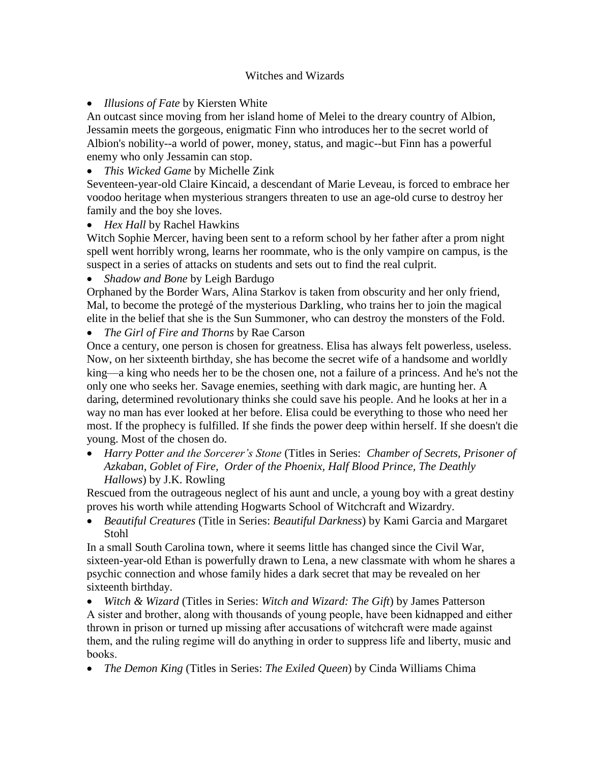## Witches and Wizards

*Illusions of Fate* by Kiersten White

An outcast since moving from her island home of Melei to the dreary country of Albion, Jessamin meets the gorgeous, enigmatic Finn who introduces her to the secret world of Albion's nobility--a world of power, money, status, and magic--but Finn has a powerful enemy who only Jessamin can stop.

*This Wicked Game* by Michelle Zink

Seventeen-year-old Claire Kincaid, a descendant of Marie Leveau, is forced to embrace her voodoo heritage when mysterious strangers threaten to use an age-old curse to destroy her family and the boy she loves.

*Hex Hall* by Rachel Hawkins

Witch Sophie Mercer, having been sent to a reform school by her father after a prom night spell went horribly wrong, learns her roommate, who is the only vampire on campus, is the suspect in a series of attacks on students and sets out to find the real culprit.

*Shadow and Bone* by Leigh Bardugo

Orphaned by the Border Wars, Alina Starkov is taken from obscurity and her only friend, Mal, to become the protegé of the mysterious Darkling, who trains her to join the magical elite in the belief that she is the Sun Summoner, who can destroy the monsters of the Fold.

*The Girl of Fire and Thorns* by Rae Carson

Once a century, one person is chosen for greatness. Elisa has always felt powerless, useless. Now, on her sixteenth birthday, she has become the secret wife of a handsome and worldly king—a king who needs her to be the chosen one, not a failure of a princess. And he's not the only one who seeks her. Savage enemies, seething with dark magic, are hunting her. A daring, determined revolutionary thinks she could save his people. And he looks at her in a way no man has ever looked at her before. Elisa could be everything to those who need her most. If the prophecy is fulfilled. If she finds the power deep within herself. If she doesn't die young. Most of the chosen do.

 *Harry Potter and the Sorcerer's Stone* (Titles in Series: *Chamber of Secrets, Prisoner of Azkaban, Goblet of Fire, Order of the Phoenix, Half Blood Prince, The Deathly Hallows*) by J.K. Rowling

Rescued from the outrageous neglect of his aunt and uncle, a young boy with a great destiny proves his worth while attending Hogwarts School of Witchcraft and Wizardry.

 *Beautiful Creatures* (Title in Series: *Beautiful Darkness*) by Kami Garcia and Margaret Stohl

In a small South Carolina town, where it seems little has changed since the Civil War, sixteen-year-old Ethan is powerfully drawn to Lena, a new classmate with whom he shares a psychic connection and whose family hides a dark secret that may be revealed on her sixteenth birthday.

 *Witch & Wizard* (Titles in Series: *Witch and Wizard: The Gift*) by James Patterson A sister and brother, along with thousands of young people, have been kidnapped and either thrown in prison or turned up missing after accusations of witchcraft were made against them, and the ruling regime will do anything in order to suppress life and liberty, music and books.

*The Demon King* (Titles in Series: *The Exiled Queen*) by Cinda Williams Chima